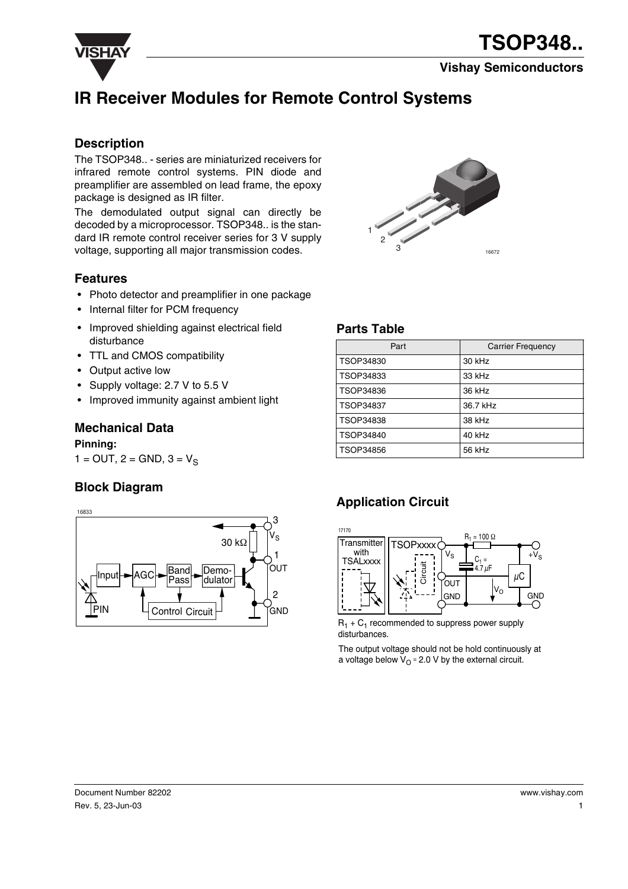

**VISHAY TSOP348..**

**Vishay Semiconductors**

# **IR Receiver Modules for Remote Control Systems**

#### **Description**

The TSOP348.. - series are miniaturized receivers for infrared remote control systems. PIN diode and preamplifier are assembled on lead frame, the epoxy package is designed as IR filter.

The demodulated output signal can directly be decoded by a microprocessor. TSOP348.. is the standard IR remote control receiver series for 3 V supply voltage, supporting all major transmission codes.

#### **Features**

- Photo detector and preamplifier in one package
- Internal filter for PCM frequency
- Improved shielding against electrical field disturbance
- TTL and CMOS compatibility
- Output active low
- Supply voltage: 2.7 V to 5.5 V
- Improved immunity against ambient light

#### **Mechanical Data**

#### **Pinning:**

 $1 = OUT$ ,  $2 = GND$ ,  $3 = V_S$ 

#### **Block Diagram**





#### **Parts Table**

| Part      | <b>Carrier Frequency</b> |  |  |
|-----------|--------------------------|--|--|
| TSOP34830 | 30 kHz                   |  |  |
| TSOP34833 | 33 kHz                   |  |  |
| TSOP34836 | 36 kHz                   |  |  |
| TSOP34837 | 36.7 kHz                 |  |  |
| TSOP34838 | 38 kHz                   |  |  |
| TSOP34840 | 40 kHz                   |  |  |
| TSOP34856 | 56 kHz                   |  |  |

## **Application Circuit**



 $R_1 + C_1$  recommended to suppress power supply disturbances.

The output voltage should not be hold continuously at a voltage below  $V<sub>O</sub> = 2.0 V$  by the external circuit.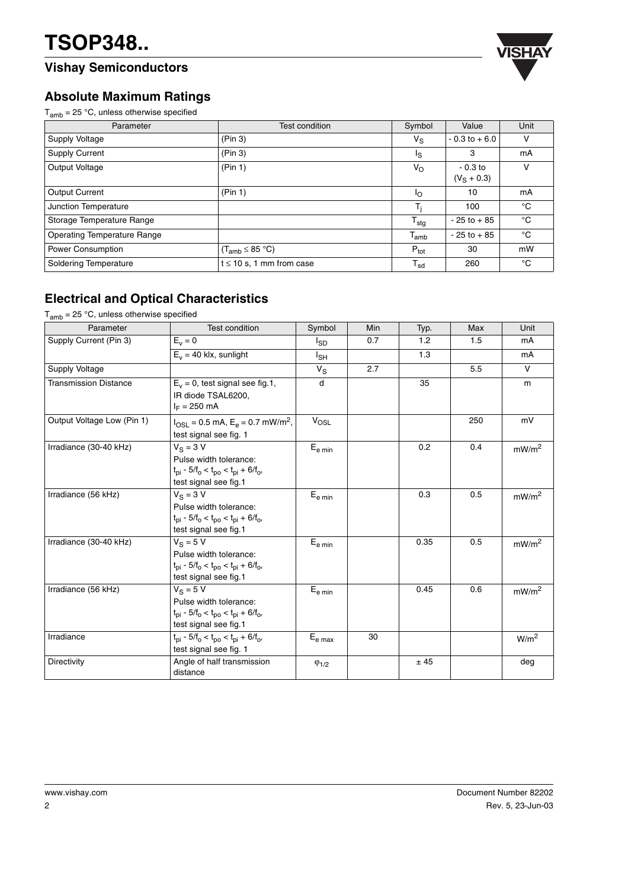## **Vishay Semiconductors**



### **Absolute Maximum Ratings**

 $T_{amb}$  = 25 °C, unless otherwise specified

| Parameter                          | Test condition                 | Symbol           | Value                     | Unit |
|------------------------------------|--------------------------------|------------------|---------------------------|------|
| Supply Voltage                     | (Pin 3)                        | $V_{\rm S}$      | $-0.3$ to $+6.0$          | v    |
| <b>Supply Current</b>              | (Pin 3)                        | ı <sub>s</sub>   | 3                         | mA   |
| Output Voltage                     | (Pin 1)                        | $V_{\rm O}$      | $-0.3$ to<br>$(VS + 0.3)$ | v    |
| <b>Output Current</b>              | (Pin 1)                        | Ιo               | 10                        | mA   |
| Junction Temperature               |                                |                  | 100                       | °C   |
| Storage Temperature Range          |                                | $T_{\text{stg}}$ | $-25$ to $+85$            | °C   |
| <b>Operating Temperature Range</b> |                                | $T_{amb}$        | $-25$ to $+85$            | °C   |
| Power Consumption                  | $(T_{amb} \leq 85 \text{ °C})$ | $P_{\text{tot}}$ | 30                        | mW   |
| <b>Soldering Temperature</b>       | $t \leq 10$ s, 1 mm from case  | $T_{sd}$         | 260                       | °C   |

### **Electrical and Optical Characteristics**

 $T_{amb}$  = 25 °C, unless otherwise specified

| Parameter                    | <b>Test condition</b>                                                                                                                                         | Symbol                                    | Min | Typ. | Max | Unit              |
|------------------------------|---------------------------------------------------------------------------------------------------------------------------------------------------------------|-------------------------------------------|-----|------|-----|-------------------|
| Supply Current (Pin 3)       | $E_v = 0$                                                                                                                                                     | l <sub>SD</sub>                           | 0.7 | 1.2  | 1.5 | mA                |
|                              | $E_v = 40$ klx, sunlight                                                                                                                                      | I <sub>SH</sub>                           |     | 1.3  |     | mA                |
| Supply Voltage               |                                                                                                                                                               | $V_S$                                     | 2.7 |      | 5.5 | $\mathsf{V}$      |
| <b>Transmission Distance</b> | $E_v = 0$ , test signal see fig.1,<br>IR diode TSAL6200,<br>$I_F = 250$ mA                                                                                    | d                                         |     | 35   |     | m                 |
| Output Voltage Low (Pin 1)   | $I_{OSL}$ = 0.5 mA, E <sub>e</sub> = 0.7 mW/m <sup>2</sup> ,<br>test signal see fig. 1                                                                        | $V_{OSL}$                                 |     |      | 250 | mV                |
| Irradiance (30-40 kHz)       | $V_S = 3 V$<br>Pulse width tolerance:<br>$t_{pi}$ - 5/f <sub>o</sub> < $t_{po}$ < $t_{pi}$ + 6/f <sub>o</sub> ,<br>test signal see fig.1                      | $E_{e \text{ min}}$                       |     | 0.2  | 0.4 | mW/m <sup>2</sup> |
| Irradiance (56 kHz)          | $V_S = 3 V$<br>Pulse width tolerance:<br>$t_{pi}$ - 5/f <sub>o</sub> < $t_{po}$ < $t_{pi}$ + 6/f <sub>o</sub> ,<br>test signal see fig.1                      | $\mathsf{E}_{\mathsf{e}\min}$             |     | 0.3  | 0.5 | mW/m <sup>2</sup> |
| Irradiance (30-40 kHz)       | $V_S = 5 V$<br>Pulse width tolerance:<br>$t_{\text{pi}}$ - 5/f <sub>o</sub> < $t_{\text{po}}$ < $t_{\text{pi}}$ + 6/f <sub>o</sub> ,<br>test signal see fig.1 | $\mathsf{E}_{\mathsf{e}\min}$             |     | 0.35 | 0.5 | mW/m <sup>2</sup> |
| Irradiance (56 kHz)          | $V_S = 5 V$<br>Pulse width tolerance:<br>$t_{pi}$ - 5/f <sub>o</sub> < $t_{po}$ < $t_{pi}$ + 6/f <sub>o</sub> ,<br>test signal see fig.1                      | $E_{\text{e min}}$                        |     | 0.45 | 0.6 | mW/m <sup>2</sup> |
| Irradiance                   | $t_{pi}$ - 5/f <sub>o</sub> < $t_{po}$ < $t_{pi}$ + 6/f <sub>o</sub> ,<br>test signal see fig. 1                                                              | $\mathsf{E}_{\mathsf{e} \; \mathsf{max}}$ | 30  |      |     | W/m <sup>2</sup>  |
| <b>Directivity</b>           | Angle of half transmission<br>distance                                                                                                                        | $\varphi_{1/2}$                           |     | ±45  |     | deg               |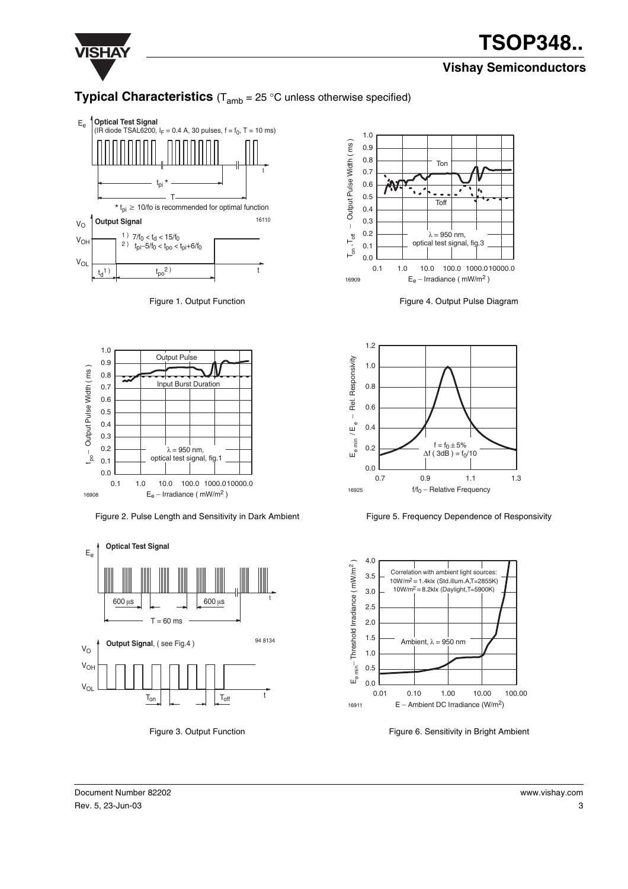

# **VISHAY TSOP348.. Vishay Semiconductors**

### **Typical Characteristics**  $(T_{amb} = 25 \degree C$  unless otherwise specified)



Figure 1. Output Function



Figure 2. Pulse Length and Sensitivity in Dark Ambient



Figure 3. Output Function



Figure 4. Output Pulse Diagram



Figure 5. Frequency Dependence of Responsivity



Figure 6. Sensitivity in Bright Ambient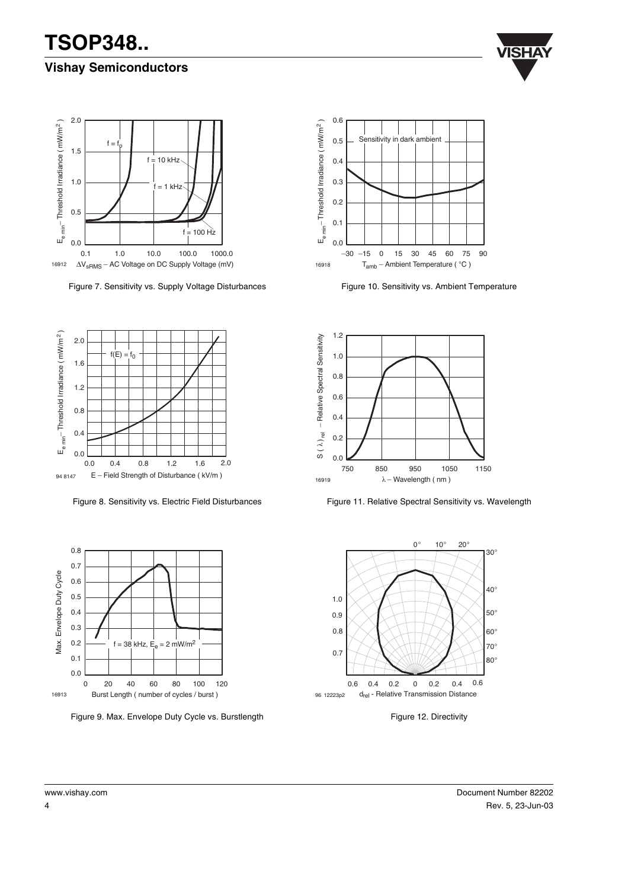# **VISHAY TSOP348.. Vishay Semiconductors**





Figure 7. Sensitivity vs. Supply Voltage Disturbances



Figure 8. Sensitivity vs. Electric Field Disturbances



Figure 9. Max. Envelope Duty Cycle vs. Burstlength



Figure 10. Sensitivity vs. Ambient Temperature



Figure 11. Relative Spectral Sensitivity vs. Wavelength



Figure 12. Directivity

4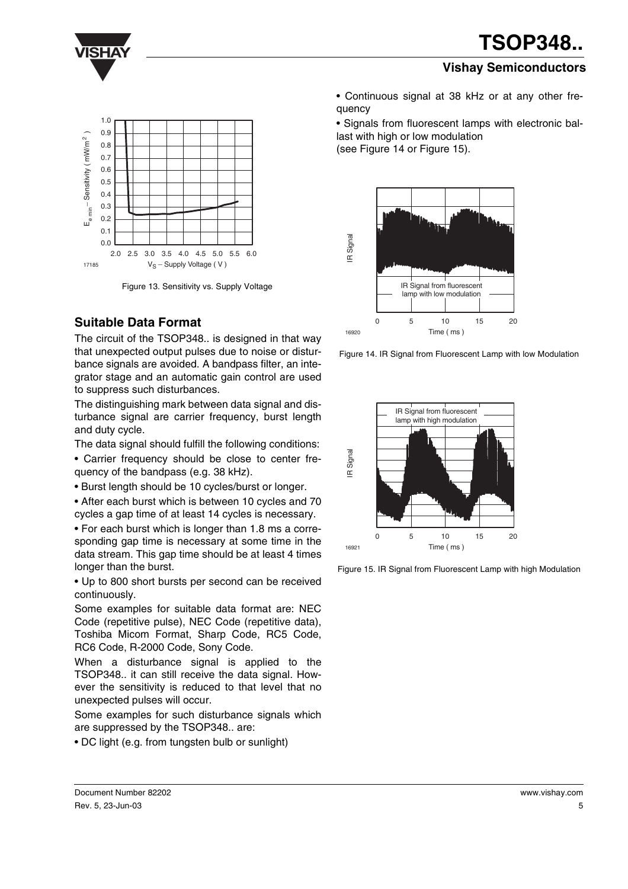**VISHAY TSOP348..**

#### **Vishay Semiconductors**





Figure 13. Sensitivity vs. Supply Voltage

#### **Suitable Data Format**

The circuit of the TSOP348.. is designed in that way that unexpected output pulses due to noise or disturbance signals are avoided. A bandpass filter, an integrator stage and an automatic gain control are used to suppress such disturbances.

The distinguishing mark between data signal and disturbance signal are carrier frequency, burst length and duty cycle.

The data signal should fulfill the following conditions:

• Carrier frequency should be close to center frequency of the bandpass (e.g. 38 kHz).

• Burst length should be 10 cycles/burst or longer.

• After each burst which is between 10 cycles and 70 cycles a gap time of at least 14 cycles is necessary.

• For each burst which is longer than 1.8 ms a corresponding gap time is necessary at some time in the data stream. This gap time should be at least 4 times longer than the burst.

• Up to 800 short bursts per second can be received continuously.

Some examples for suitable data format are: NEC Code (repetitive pulse), NEC Code (repetitive data), Toshiba Micom Format, Sharp Code, RC5 Code, RC6 Code, R-2000 Code, Sony Code.

When a disturbance signal is applied to the TSOP348.. it can still receive the data signal. However the sensitivity is reduced to that level that no unexpected pulses will occur.

Some examples for such disturbance signals which are suppressed by the TSOP348.. are:

• DC light (e.g. from tungsten bulb or sunlight)

• Continuous signal at 38 kHz or at any other frequency

• Signals from fluorescent lamps with electronic ballast with high or low modulation

(see Figure 14 or Figure 15).







Figure 15. IR Signal from Fluorescent Lamp with high Modulation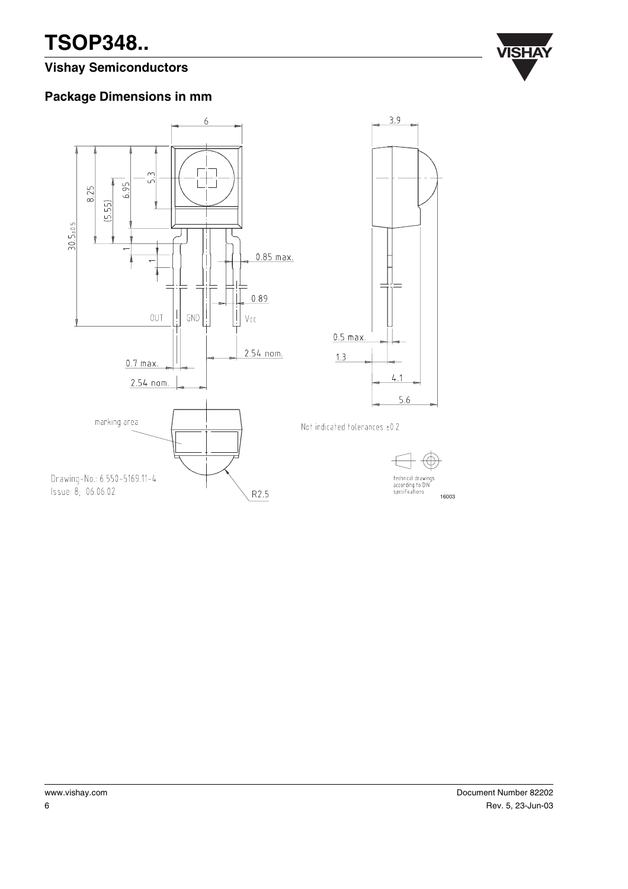# **VISHAY TSOP348..**

## **Vishay Semiconductors**



#### **Package Dimensions in mm**





Not indicated tolerances ±0.2